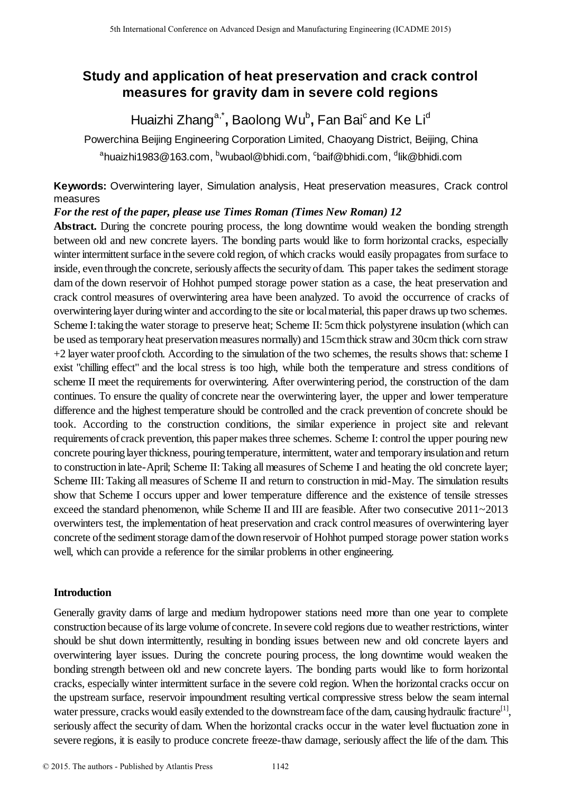# **Study and application of heat preservation and crack control measures for gravity dam in severe cold regions**

Huaizhi Zhang<sup>a,\*</sup>, Baolong Wu<sup>b</sup>, Fan Bai<sup>c</sup>and Ke Li<sup>d</sup>

Powerchina Beijing Engineering Corporation Limited, Chaoyang District, Beijing, China  $^{\sf a}$ huaizhi1983@163.com,  $^{\sf b}$ wubaol@bhidi.com,  $^{\sf c}$ baif@bhidi.com,  $^{\sf d}$ lik@bhidi.com

**Keywords:** Overwintering layer, Simulation analysis, Heat preservation measures, Crack control measures

*For the rest of the paper, please use Times Roman (Times New Roman) 12* 

Abstract. During the concrete pouring process, the long downtime would weaken the bonding strength between old and new concrete layers. The bonding parts would like to form horizontal cracks, especially winter intermittent surface in the severe cold region, of which cracks would easily propagates from surface to inside, even through the concrete, seriously affects the security of dam. This paper takes the sediment storage dam of the down reservoir of Hohhot pumped storage power station as a case, the heat preservation and crack control measures of overwintering area have been analyzed. To avoid the occurrence of cracks of overwintering layer during winter and according to the site or local material, this paper draws up two schemes. Scheme I: taking the water storage to preserve heat; Scheme II: 5cm thick polystyrene insulation (which can be used as temporary heat preservation measures normally) and 15cm thick straw and 30cm thick corn straw +2 layer water proof cloth. According to the simulation of the two schemes, the results shows that: scheme I exist "chilling effect" and the local stress is too high, while both the temperature and stress conditions of scheme II meet the requirements for overwintering. After overwintering period, the construction of the dam continues. To ensure the quality of concrete near the overwintering layer, the upper and lower temperature difference and the highest temperature should be controlled and the crack prevention of concrete should be took. According to the construction conditions, the similar experience in project site and relevant requirements of crack prevention, this paper makes three schemes. Scheme I: control the upper pouring new concrete pouring layer thickness, pouring temperature, intermittent, water and temporary insulation and return to construction in late-April; Scheme II: Taking all measures of Scheme I and heating the old concrete layer; Scheme III: Taking all measures of Scheme II and return to construction in mid-May. The simulation results show that Scheme I occurs upper and lower temperature difference and the existence of tensile stresses exceed the standard phenomenon, while Scheme II and III are feasible. After two consecutive 2011~2013 overwinters test, the implementation of heat preservation and crack control measures of overwintering layer concrete of the sediment storage dam of the down reservoir of Hohhot pumped storage power station works well, which can provide a reference for the similar problems in other engineering. 5th Isamatesal Conference on Advanced Design and Manufacturing Engered Conference on Advanced Conference on Advanced Design and Kell L<sup>14</sup><br>
Powerchina Beijing Engineering (ICADME) (ICADME) (ICADME) (ICADME) (ICADME) (ICAD

# **Introduction**

Generally gravity dams of large and medium hydropower stations need more than one year to complete construction because of its large volume of concrete. In severe cold regions due to weather restrictions, winter should be shut down intermittently, resulting in bonding issues between new and old concrete layers and overwintering layer issues. During the concrete pouring process, the long downtime would weaken the bonding strength between old and new concrete layers. The bonding parts would like to form horizontal cracks, especially winter intermittent surface in the severe cold region. When the horizontal cracks occur on the upstream surface, reservoir impoundment resulting vertical compressive stress below the seam internal water pressure, cracks would easily extended to the downstream face of the dam, causing hydraulic fracture<sup>[1]</sup>, seriously affect the security of dam. When the horizontal cracks occur in the water level fluctuation zone in severe regions, it is easily to produce concrete freeze-thaw damage, seriously affect the life of the dam. This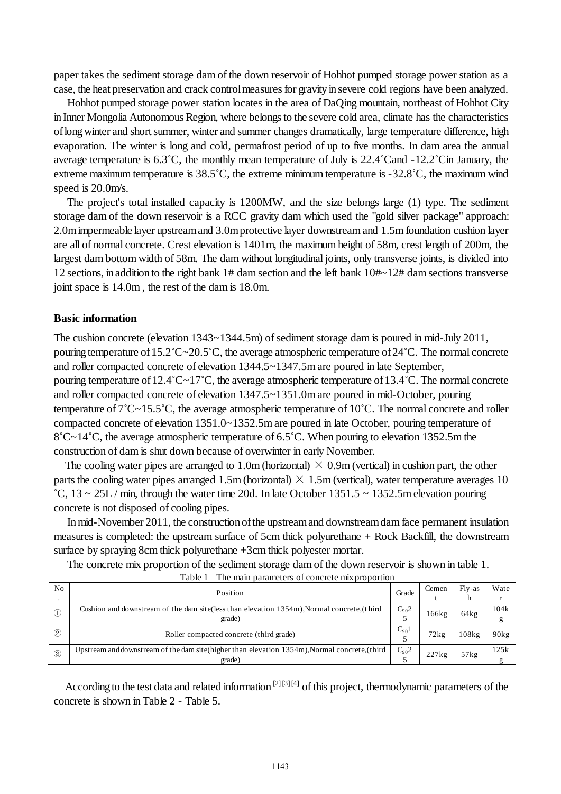paper takes the sediment storage dam of the down reservoir of Hohhot pumped storage power station as a case, the heat preservation and crack control measures for gravity in severe cold regions have been analyzed.

Hohhot pumped storage power station locates in the area of DaQing mountain, northeast of Hohhot City in Inner Mongolia Autonomous Region, where belongs to the severe cold area, climate has the characteristics of long winter and short summer, winter and summer changes dramatically, large temperature difference, high evaporation. The winter is long and cold, permafrost period of up to five months. In dam area the annual average temperature is 6.3˚C, the monthly mean temperature of July is 22.4˚Cand -12.2˚Cin January, the extreme maximum temperature is 38.5˚C, the extreme minimum temperature is -32.8˚C, the maximum wind speed is 20.0m/s.

The project's total installed capacity is 1200MW, and the size belongs large (1) type. The sediment storage dam of the down reservoir is a RCC gravity dam which used the "gold silver package" approach: 2.0m impermeable layer upstream and 3.0m protective layer downstream and 1.5m foundation cushion layer are all of normal concrete. Crest elevation is 1401m, the maximum height of 58m, crest length of 200m, the largest dam bottom width of 58m. The dam without longitudinal joints, only transverse joints, is divided into 12 sections, in addition to the right bank 1# dam section and the left bank 10#~12# dam sections transverse joint space is 14.0m , the rest of the dam is 18.0m.

#### **Basic information**

The cushion concrete (elevation 1343~1344.5m) of sediment storage dam is poured in mid-July 2011, pouring temperature of 15.2˚C~20.5˚C, the average atmospheric temperature of 24˚C. The normal concrete and roller compacted concrete of elevation 1344.5~1347.5m are poured in late September, pouring temperature of 12.4˚C~17˚C, the average atmospheric temperature of 13.4˚C. The normal concrete and roller compacted concrete of elevation 1347.5~1351.0m are poured in mid-October, pouring temperature of 7˚C~15.5˚C, the average atmospheric temperature of 10˚C. The normal concrete and roller compacted concrete of elevation 1351.0~1352.5m are poured in late October, pouring temperature of 8˚C~14˚C, the average atmospheric temperature of 6.5˚C. When pouring to elevation 1352.5m the construction of dam is shut down because of overwinter in early November.

The cooling water pipes are arranged to 1.0m (horizontal)  $\times$  0.9m (vertical) in cushion part, the other parts the cooling water pipes arranged 1.5m (horizontal)  $\times$  1.5m (vertical), water temperature averages 10 °C,  $13 \sim 25$ L / min, through the water time 20d. In late October 1351.5 ~ 1352.5m elevation pouring concrete is not disposed of cooling pipes.

In mid-November 2011, the construction of the upstream and downstream dam face permanent insulation measures is completed: the upstream surface of 5cm thick polyurethane + Rock Backfill, the downstream surface by spraying 8cm thick polyurethane +3cm thick polyester mortar.

The concrete mix proportion of the sediment storage dam of the down reservoir is shown in table 1.

|                | The main parameters of concrete mix proportion<br>Table 1                                      |           |       |        |                   |  |  |  |  |  |
|----------------|------------------------------------------------------------------------------------------------|-----------|-------|--------|-------------------|--|--|--|--|--|
| N <sub>0</sub> | Position                                                                                       | Grade     | Cemen | Fly-as | Wate              |  |  |  |  |  |
|                |                                                                                                |           |       | h      |                   |  |  |  |  |  |
| $\circled{1}$  | Cushion and downstream of the dam site (less than elevation 1354m), Normal concrete, (third    | $C_{90}2$ | 166kg | 64kg   | 104k              |  |  |  |  |  |
|                | grade)                                                                                         |           |       |        | g                 |  |  |  |  |  |
| (2)            | Roller compacted concrete (third grade)                                                        | $C_{90}1$ | 72kg  | 108kg  | 90 <sub>k</sub> g |  |  |  |  |  |
|                |                                                                                                |           |       |        |                   |  |  |  |  |  |
| $\circled{3}$  | Upstream and downstream of the dam site (higher than elevation 1354m), Normal concrete, (third | $C_{90}2$ | 227kg | 57kg   | 125k              |  |  |  |  |  |
|                | grade)                                                                                         |           |       |        | g                 |  |  |  |  |  |

According to the test data and related information  $[2]$  [3]  $[4]$  of this project, thermodynamic parameters of the concrete is shown in Table 2 - Table 5.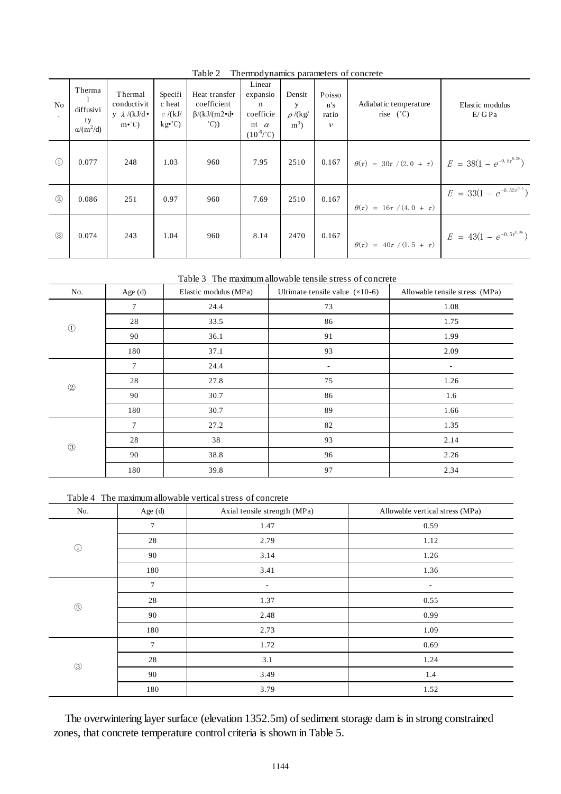| No            | Therma<br>diffusivi<br>ty<br>$\alpha/(m^2/d)$ | Thermal<br>conductivit<br>y $\lambda$ /(kJ/d •<br>$m\cdot^{\circ}$ C) | Specifi<br>c heat<br>c/(kJ/<br>$kg^{\bullet}^{\circ}$ C) | Heat transfer<br>coefficient<br>$\beta/(kJ/(m2\cdot d\cdot))$<br>$^{\circ}$ C)) | Linear<br>expansio<br>n<br>coefficie<br>nt $\alpha$<br>$(10^{-6}/^{\circ}C)$ | Densit<br>у<br>$\rho$ /(kg/<br>$m^3$ | Poisso<br>n's<br>ratio<br>$\mathcal{V}$ | Adiabatic temperature<br>rise $(^{\circ}C)$                            | Elastic modulus<br>E/GPa          |
|---------------|-----------------------------------------------|-----------------------------------------------------------------------|----------------------------------------------------------|---------------------------------------------------------------------------------|------------------------------------------------------------------------------|--------------------------------------|-----------------------------------------|------------------------------------------------------------------------|-----------------------------------|
| $\circled{1}$ | 0.077                                         | 248                                                                   | 1.03                                                     | 960                                                                             | 7.95                                                                         | 2510                                 | 0.167                                   | $\theta(\tau) = 30\tau/(2.0 + \tau)$ $E = 38(1 - e^{-0.5\tau^{0.39}})$ |                                   |
| $\circled{2}$ | 0.086                                         | 251                                                                   | 0.97                                                     | 960                                                                             | 7.69                                                                         | 2510                                 | 0.167                                   | $\theta(\tau) = 16\tau/(4.0 + \tau)$                                   | $E = 33(1 - e^{-0.52\tau^{0.5}})$ |
| $\circled{3}$ | 0.074                                         | 243                                                                   | 1.04                                                     | 960                                                                             | 8.14                                                                         | 2470                                 | 0.167                                   | $\theta(\tau) = 40\tau / (1.5 + \tau)$                                 | $E = 43(1 - e^{-0.5t^{0.36}})$    |

Table 2 Thermodynamics parameters of concrete

Table 3 The maximum allowable tensile stress of concrete

| No.           | Age (d) | Elastic modulus (MPa) | Ultimate tensile value $(x10-6)$ | Allowable tensile stress (MPa) |
|---------------|---------|-----------------------|----------------------------------|--------------------------------|
|               | $\tau$  | 24.4                  | 73                               | 1.08                           |
| $\odot$       | 28      | 33.5                  | 86                               | 1.75                           |
|               | 90      | 36.1                  | 91                               | 1.99                           |
|               | 180     | 37.1                  | 93                               | 2.09                           |
|               | $\tau$  | 24.4                  | $\sim$                           | $\overline{\phantom{a}}$       |
| $\circled{2}$ | 28      | 27.8                  | 75                               | 1.26                           |
|               | 90      | 30.7                  | 86                               | 1.6                            |
|               | 180     | 30.7                  | 89                               | 1.66                           |
|               | $\tau$  | 27.2                  | 82                               | 1.35                           |
| $\circledS$   | 28      | 38                    | 93                               | 2.14                           |
|               | 90      | 38.8                  | 96                               | 2.26                           |
|               | 180     | 39.8                  | 97                               | 2.34                           |

Table 4 The maximum allowable vertical stress of concrete

| No.                            | Age (d)        | Axial tensile strength (MPa) | Allowable vertical stress (MPa) |
|--------------------------------|----------------|------------------------------|---------------------------------|
|                                | $\tau$         | 1.47                         | 0.59                            |
| $\textcircled{\scriptsize{1}}$ | 28             | 2.79                         | 1.12                            |
|                                | 90             | 3.14                         | 1.26                            |
|                                | 180            | 3.41                         | 1.36                            |
|                                | $\overline{7}$ | $\overline{a}$               | ۰                               |
| $\circledS$                    | 28             | 1.37                         | 0.55                            |
|                                | 90             | 2.48                         | 0.99                            |
|                                | 180            | 2.73                         | 1.09                            |
|                                | $\tau$         | 1.72                         | 0.69                            |
| $\circledS$                    | 28             | 3.1                          | 1.24                            |
|                                | 90             | 3.49                         | 1.4                             |
|                                | 180            | 3.79                         | 1.52                            |

The overwintering layer surface (elevation 1352.5m) of sediment storage dam is in strong constrained zones, that concrete temperature control criteria is shown in Table 5.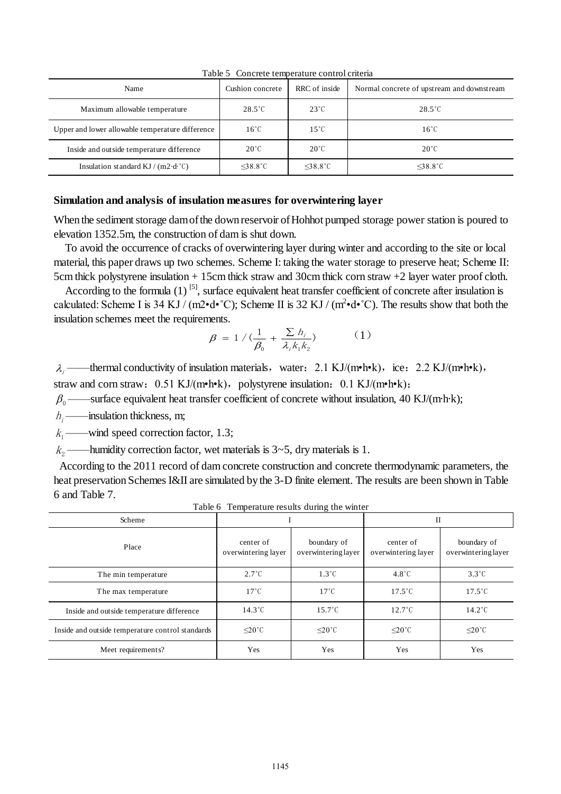| Name                                             | Cushion concrete         | RRC of inside         | Normal concrete of upstream and downstream |
|--------------------------------------------------|--------------------------|-----------------------|--------------------------------------------|
| Maximum allowable temperature                    | $28.5^{\circ}$ C         | $23^{\circ}$ C        | $28.5^{\circ}$ C                           |
| Upper and lower allowable temperature difference | $16^{\circ}$ C           | $15^{\circ}$ C        | $16^{\circ}$ C                             |
| Inside and outside temperature difference        | $20^{\circ}$ C           | $20^{\circ}$ C        | $20^{\circ}$ C                             |
| Insulation standard KJ / (m2 $d^{\circ}C$ )      | $\leq$ 38.8 $^{\circ}$ C | $<$ 38.8 $^{\circ}$ C | $<$ 38.8 $^{\circ}$ C                      |

Table 5 Concrete temperature control criteria

### **Simulation and analysis of insulation measures for overwintering layer**

When the sediment storage dam of the down reservoir of Hohhot pumped storage power station is poured to elevation 1352.5m, the construction of dam is shut down.

 To avoid the occurrence of cracks of overwintering layer during winter and according to the site or local material, this paper draws up two schemes. Scheme I: taking the water storage to preserve heat; Scheme II: 5cm thick polystyrene insulation + 15cm thick straw and 30cm thick corn straw +2 layer water proof cloth.

According to the formula  $(1)$  <sup>[5]</sup>, surface equivalent heat transfer coefficient of concrete after insulation is calculated: Scheme I is 34 KJ / (m2 $\cdot$ d $\cdot$ °C); Scheme II is 32 KJ / (m<sup>2</sup> $\cdot$ d $\cdot$ °C). The results show that both the insulation schemes meet the requirements.

$$
\beta = 1 / (\frac{1}{\beta_0} + \frac{\sum h_i}{\lambda_i k_1 k_2})
$$
 (1)

 $\lambda_i$  ——thermal conductivity of insulation materials, water: 2.1 KJ/(m•h•k), ice: 2.2 KJ/(m•h•k), straw and corn straw:  $0.51 \text{ KJ/(m} \cdot \text{hek})$ , polystyrene insulation:  $0.1 \text{ KJ/(m} \cdot \text{hek})$ ;

 $\beta_0$  ——surface equivalent heat transfer coefficient of concrete without insulation, 40 KJ/(m·h·k);

 $h_i$ ——insulation thickness, m;

 $k_1$ ——wind speed correction factor, 1.3;

 $k_2$  ——humidity correction factor, wet materials is 3~5, dry materials is 1.

 According to the 2011 record of dam concrete construction and concrete thermodynamic parameters, the heat preservation Schemes I&II are simulated by the 3-D finite element. The results are been shown in Table 6 and Table 7.

| Scheme                                           |                                  |                                    | $_{\rm II}$                      |                                    |  |
|--------------------------------------------------|----------------------------------|------------------------------------|----------------------------------|------------------------------------|--|
| Place                                            | center of<br>overwintering layer | boundary of<br>overwintering layer | center of<br>overwintering layer | boundary of<br>overwintering layer |  |
| The min temperature                              | $2.7^{\circ}$ C                  | $1.3^{\circ}$ C                    | $4.8^{\circ}$ C                  | $3.3^{\circ}$ C                    |  |
| The max temperature                              | $17^{\circ}$ C                   | $17^{\circ}$ C                     | $17.5^{\circ}$ C                 | $17.5^{\circ}$ C                   |  |
| Inside and outside temperature difference        | $14.3^{\circ}$ C                 | $15.7^{\circ}$ C                   | $12.7^{\circ}$ C                 | $14.2^{\circ}$ C                   |  |
| Inside and outside temperature control standards | $\leq$ 20°C                      | $\leq$ 20°C                        | $\leq$ 20°C                      | $\leq$ 20°C                        |  |
| Meet requirements?                               | Yes                              | Yes                                | Yes                              | Yes                                |  |

Table 6 Temperature results during the winter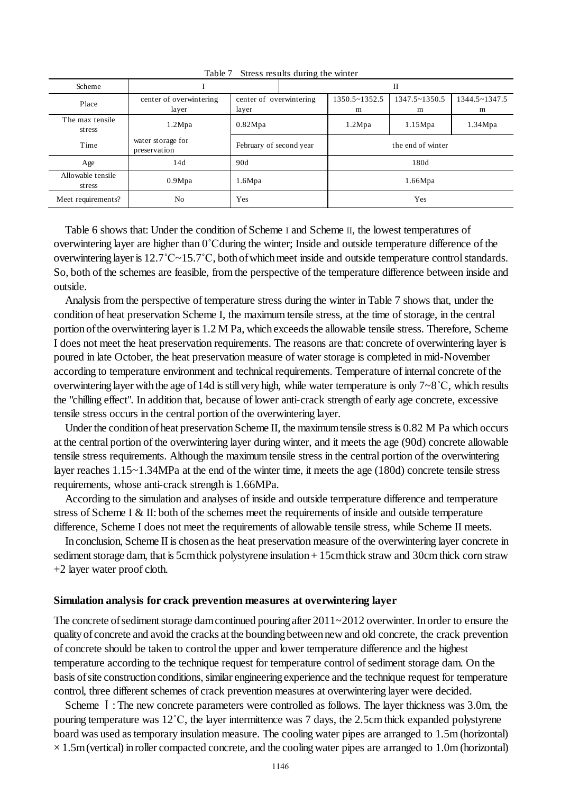| Scheme                      |                                   |                                  | П |                   |  |                        |                    |                    |
|-----------------------------|-----------------------------------|----------------------------------|---|-------------------|--|------------------------|--------------------|--------------------|
| Place                       | center of overwintering<br>layer  | center of overwintering<br>layer |   |                   |  | $1350.5 - 1352.5$<br>m | 1347.5~1350.5<br>m | 1344.5~1347.5<br>m |
| The max tensile<br>stress   | 1.2Mpa                            | 0.82Mpa                          |   | 1.2Mpa<br>1.15Mpa |  | 1.34Mpa                |                    |                    |
| Time                        | water storage for<br>preservation | February of second year          |   | the end of winter |  |                        |                    |                    |
| Age                         | 14d                               | 90d                              |   | 180d              |  |                        |                    |                    |
| Allowable tensile<br>stress | 0.9Mpa                            | 1.6Mpa                           |   | 1.66Mpa           |  |                        |                    |                    |
| Meet requirements?          | N <sub>o</sub>                    | Yes                              |   | Yes               |  |                        |                    |                    |

Table 7 Stress results during the winter

Table 6 shows that: Under the condition of Scheme I and Scheme II, the lowest temperatures of overwintering layer are higher than 0˚Cduring the winter; Inside and outside temperature difference of the overwintering layer is 12.7˚C~15.7˚C, both of which meet inside and outside temperature control standards. So, both of the schemes are feasible, from the perspective of the temperature difference between inside and outside.

Analysis from the perspective of temperature stress during the winter in Table 7 shows that, under the condition of heat preservation Scheme I, the maximum tensile stress, at the time of storage, in the central portion of the overwintering layer is 1.2 M Pa, which exceeds the allowable tensile stress. Therefore, Scheme I does not meet the heat preservation requirements. The reasons are that: concrete of overwintering layer is poured in late October, the heat preservation measure of water storage is completed in mid-November according to temperature environment and technical requirements. Temperature of internal concrete of the overwintering layer with the age of 14d is still very high, while water temperature is only 7~8˚C, which results the "chilling effect". In addition that, because of lower anti-crack strength of early age concrete, excessive tensile stress occurs in the central portion of the overwintering layer.

Under the condition of heat preservation Scheme II, the maximum tensile stress is 0.82 M Pa which occurs at the central portion of the overwintering layer during winter, and it meets the age (90d) concrete allowable tensile stress requirements. Although the maximum tensile stress in the central portion of the overwintering layer reaches 1.15~1.34MPa at the end of the winter time, it meets the age (180d) concrete tensile stress requirements, whose anti-crack strength is 1.66MPa.

According to the simulation and analyses of inside and outside temperature difference and temperature stress of Scheme I & II: both of the schemes meet the requirements of inside and outside temperature difference, Scheme I does not meet the requirements of allowable tensile stress, while Scheme II meets.

In conclusion, Scheme II is chosen as the heat preservation measure of the overwintering layer concrete in sediment storage dam, that is 5cm thick polystyrene insulation + 15cm thick straw and 30cm thick corn straw +2 layer water proof cloth.

#### **Simulation analysis for crack prevention measures at overwintering layer**

The concrete of sediment storage dam continued pouring after 2011~2012 overwinter. In order to ensure the quality of concrete and avoid the cracks at the bounding between new and old concrete, the crack prevention of concrete should be taken to control the upper and lower temperature difference and the highest temperature according to the technique request for temperature control of sediment storage dam. On the basis of site construction conditions, similar engineering experience and the technique request for temperature control, three different schemes of crack prevention measures at overwintering layer were decided.

Scheme I: The new concrete parameters were controlled as follows. The layer thickness was 3.0m, the pouring temperature was 12˚C, the layer intermittence was 7 days, the 2.5cm thick expanded polystyrene board was used as temporary insulation measure. The cooling water pipes are arranged to 1.5m (horizontal)  $\times$  1.5m (vertical) in roller compacted concrete, and the cooling water pipes are arranged to 1.0m (horizontal)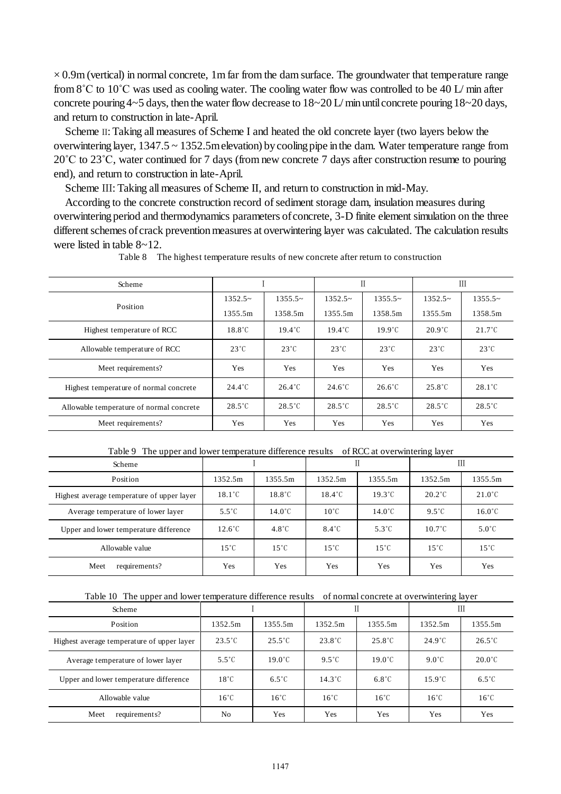$\times$  0.9m (vertical) in normal concrete, 1m far from the dam surface. The groundwater that temperature range from 8˚C to 10˚C was used as cooling water. The cooling water flow was controlled to be 40 L/ min after concrete pouring  $4~5$  days, then the water flow decrease to  $18~20$  L/min until concrete pouring  $18~20$  days, and return to construction in late-April.

Scheme II: Taking all measures of Scheme I and heated the old concrete layer (two layers below the overwintering layer, 1347.5 ~ 1352.5m elevation) by cooling pipe in the dam. Water temperature range from 20˚C to 23˚C, water continued for 7 days (from new concrete 7 days after construction resume to pouring end), and return to construction in late-April.

Scheme III: Taking all measures of Scheme II, and return to construction in mid-May.

According to the concrete construction record of sediment storage dam[, insulation](http://dict.youdao.com/w/insulation/) [measures](http://dict.youdao.com/w/measure/) during overwintering period and thermodynamics parameters of concrete, 3-D finite element simulation on the three different schemes of crack prevention measures at overwintering layer was calculated. The calculation results were listed in table 8~12.

| Scheme                                   |                  |                  | П                |                  | Ш                |                  |
|------------------------------------------|------------------|------------------|------------------|------------------|------------------|------------------|
|                                          | $1352.5-$        | $1355.5-$        | $1352.5-$        | $1355.5-$        | $1352.5-$        | $1355.5-$        |
| Position                                 | 1355.5m          | 1358.5m          | 1355.5m          | 1358.5m          | 1355.5m          | 1358.5m          |
| Highest temperature of RCC               | $18.8^{\circ}$ C | $19.4^{\circ}$ C | $19.4^{\circ}$ C | $19.9^{\circ}$ C | $20.9^{\circ}$ C | $21.7^{\circ}$ C |
| Allowable temperature of RCC             | $23^{\circ}$ C   | $23^{\circ}$ C   | $23^{\circ}$ C   | $23^{\circ}$ C   | $23^{\circ}$ C   | $23^{\circ}$ C   |
| Meet requirements?                       | <b>Yes</b>       | <b>Yes</b>       | <b>Yes</b>       | <b>Yes</b>       | <b>Yes</b>       | <b>Yes</b>       |
| Highest temperature of normal concrete   | $24.4^{\circ}$ C | $26.4^{\circ}$ C | $24.6^{\circ}$ C | $26.6^{\circ}$ C | $25.8^{\circ}$ C | $28.1^{\circ}$ C |
| Allowable temperature of normal concrete | $28.5^{\circ}$ C | $28.5^{\circ}$ C | $28.5^{\circ}$ C | $28.5^{\circ}$ C | $28.5^{\circ}$ C | $28.5^{\circ}$ C |
| Meet requirements?                       | <b>Yes</b>       | Yes              | Yes              | <b>Yes</b>       | Yes              | Yes              |

Table 8 The highest temperature results of new concrete after return to construction

Table 9 The upper and lower temperature difference results of RCC at overwintering layer

| Scheme                                     |                  |                  |                  |                  | Ш                |                  |
|--------------------------------------------|------------------|------------------|------------------|------------------|------------------|------------------|
| Position                                   | 1352.5m          | 1355.5m          | 1352.5m          | 1355.5m          | 1352.5m          | 1355.5m          |
| Highest average temperature of upper layer | $18.1^{\circ}$ C | $18.8^{\circ}$ C | $18.4^{\circ}$ C | $19.3^{\circ}$ C | $20.2^{\circ}$ C | $21.0^{\circ}$ C |
| Average temperature of lower layer         | $5.5^{\circ}$ C  | $14.0\degree$ C  | $10^{\circ}$ C   | $14.0^{\circ}$ C | $9.5^{\circ}$ C  | $16.0^{\circ}$ C |
| Upper and lower temperature difference     | $12.6^{\circ}$ C | $4.8^{\circ}$ C  | $8.4^{\circ}$ C  | $5.3^{\circ}$ C  | $10.7^{\circ}$ C | $5.0^{\circ}$ C  |
| Allowable value                            | $15^{\circ}$ C   | $15^{\circ}$ C   | $15^{\circ}$ C   | $15^{\circ}$ C   | $15^{\circ}$ C   | $15^{\circ}$ C   |
| Meet<br>requirements?                      | Yes              | Yes              | Yes              | Yes              | Yes              | Yes              |

#### Table 10 The upper and lower temperature difference results of normal concrete at overwintering layer

| Scheme                                     |                  |                  |                  |                  | Ш                |                  |
|--------------------------------------------|------------------|------------------|------------------|------------------|------------------|------------------|
| Position                                   | 1352.5m          | 1355.5m          | 1352.5m          | 1355.5m          | 1352.5m          | 1355.5m          |
| Highest average temperature of upper layer | $23.5^{\circ}$ C | $25.5^{\circ}$ C | $23.8^{\circ}$ C | $25.8^{\circ}$ C | $24.9^{\circ}$ C | $26.5^{\circ}$ C |
| Average temperature of lower layer         | $5.5^{\circ}$ C  | $19.0^{\circ}$ C | $9.5^{\circ}$ C  | $19.0^{\circ}$ C | $9.0^{\circ}$ C  | $20.0^{\circ}$ C |
| Upper and lower temperature difference     | $18^{\circ}$ C   | $6.5^{\circ}$ C  | $14.3^{\circ}$ C | $6.8^{\circ}$ C  | $15.9^{\circ}$ C | $6.5^{\circ}$ C  |
| Allowable value                            | $16^{\circ}$ C   | $16^{\circ}$ C   | $16^{\circ}$ C   | $16^{\circ}$ C   | $16^{\circ}$ C   | $16^{\circ}$ C   |
| Meet<br>requirements?                      | No               | Yes              | Yes              | Yes              | Yes              | Yes              |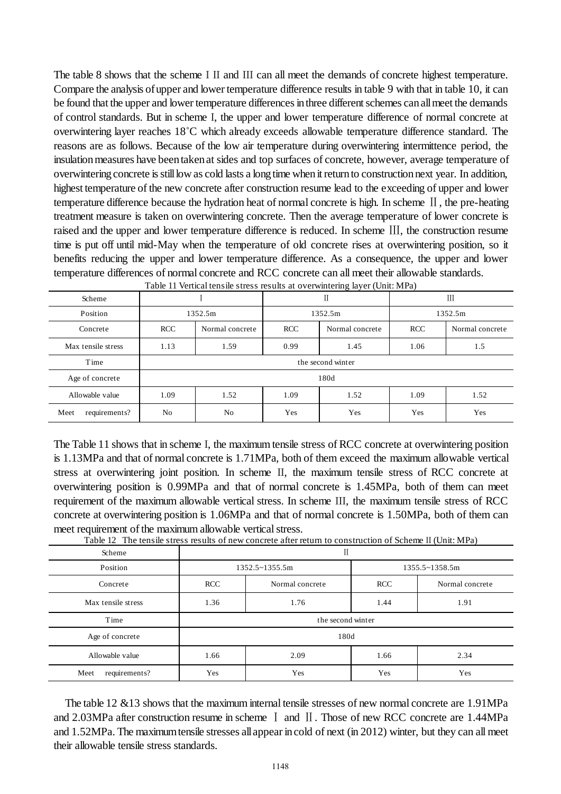The table 8 shows that the scheme I II and III can all meet the demands of concrete highest temperature. Compare the analysis of upper and lower temperature difference results in table 9 with that in table 10, it can be found that the upper and lower temperature differences in three different schemes can all meet the demands of control standards. But in scheme I, the upper and lower temperature difference of normal concrete at overwintering layer reaches 18˚C which already exceeds allowable temperature difference standard. The reasons are as follows. Because of the low air temperature during overwintering intermittence period, the insulation measures have been taken at sides and top surfaces of concrete, however, average temperature of overwintering concrete is still low as cold lasts a long time when it return to construction next year. In addition, highest temperature of the new concrete after construction resume lead to the exceeding of upper and lower temperature difference because the hydration heat of normal concrete is high. In scheme Ⅱ, the pre-heating treatment measure is taken on overwintering concrete. Then the average temperature of lower concrete is raised and the upper and lower temperature difference is reduced. In scheme Ⅲ, the construction resume time is put off until mid-May when the temperature of old concrete rises at overwintering position, so it benefits reducing the upper and lower temperature difference. As a consequence, the upper and lower temperature differences of normal concrete and RCC concrete can all meet their allowable standards.

| Table 11 vertical tensile stress results at overwhiteling layer (Officially |                |                    |                               |                   |            |                 |  |  |  |  |  |  |  |         |  |
|-----------------------------------------------------------------------------|----------------|--------------------|-------------------------------|-------------------|------------|-----------------|--|--|--|--|--|--|--|---------|--|
| Scheme                                                                      |                |                    |                               |                   | Ш          |                 |  |  |  |  |  |  |  |         |  |
| Position                                                                    |                | 1352.5m<br>1352.5m |                               |                   |            |                 |  |  |  |  |  |  |  | 1352.5m |  |
| Concrete                                                                    | <b>RCC</b>     | Normal concrete    | <b>RCC</b><br>Normal concrete |                   | <b>RCC</b> | Normal concrete |  |  |  |  |  |  |  |         |  |
| Max tensile stress                                                          | 1.13           | 1.59               | 0.99<br>1.45                  |                   | 1.06       | 1.5             |  |  |  |  |  |  |  |         |  |
| Time                                                                        |                |                    |                               | the second winter |            |                 |  |  |  |  |  |  |  |         |  |
| Age of concrete                                                             |                |                    |                               | 180d              |            |                 |  |  |  |  |  |  |  |         |  |
| Allowable value                                                             | 1.09           | 1.52               | 1.09                          | 1.52              | 1.09       | 1.52            |  |  |  |  |  |  |  |         |  |
| requirements?<br>Meet                                                       | N <sub>0</sub> | No                 | Yes                           | Yes.              | Yes        | Yes             |  |  |  |  |  |  |  |         |  |

Table 11 Vertical tensile stress results at overwintering layer (Unit: MPa)

The Table 11 shows that in scheme I, the maximum tensile stress of RCC concrete at overwintering position is 1.13MPa and that of normal concrete is 1.71MPa, both of them exceed the maximum allowable vertical stress at overwintering joint position. In scheme II, the maximum tensile stress of RCC concrete at overwintering position is 0.99MPa and that of normal concrete is 1.45MPa, both of them can meet requirement of the maximum allowable vertical stress. In scheme III, the maximum tensile stress of RCC concrete at overwintering position is 1.06MPa and that of normal concrete is 1.50MPa, both of them can meet requirement of the maximum allowable vertical stress.

Table 12 The tensile stress results of new concrete after return to construction of Scheme II (Unit: MPa)

| Scheme                | П                             |                |                |                 |  |  |
|-----------------------|-------------------------------|----------------|----------------|-----------------|--|--|
| Position              |                               | 1352.5~1355.5m | 1355.5~1358.5m |                 |  |  |
| Concrete              | <b>RCC</b><br>Normal concrete |                | <b>RCC</b>     | Normal concrete |  |  |
| Max tensile stress    | 1.36<br>1.76                  |                | 1.44<br>1.91   |                 |  |  |
| Time                  | the second winter             |                |                |                 |  |  |
| Age of concrete       | 180d                          |                |                |                 |  |  |
| Allowable value       | 2.09<br>1.66                  |                | 1.66           | 2.34            |  |  |
| requirements?<br>Meet | Yes                           | Yes            | <b>Yes</b>     | Yes             |  |  |

The table 12 &13 shows that the maximum internal tensile stresses of new normal concrete are 1.91MPa and 2.03MPa after construction resume in scheme Ⅰ and Ⅱ. Those of new RCC concrete are 1.44MPa and 1.52MPa. The maximum tensile stresses all appear in cold of next (in 2012) winter, but they can all meet their allowable tensile stress standards.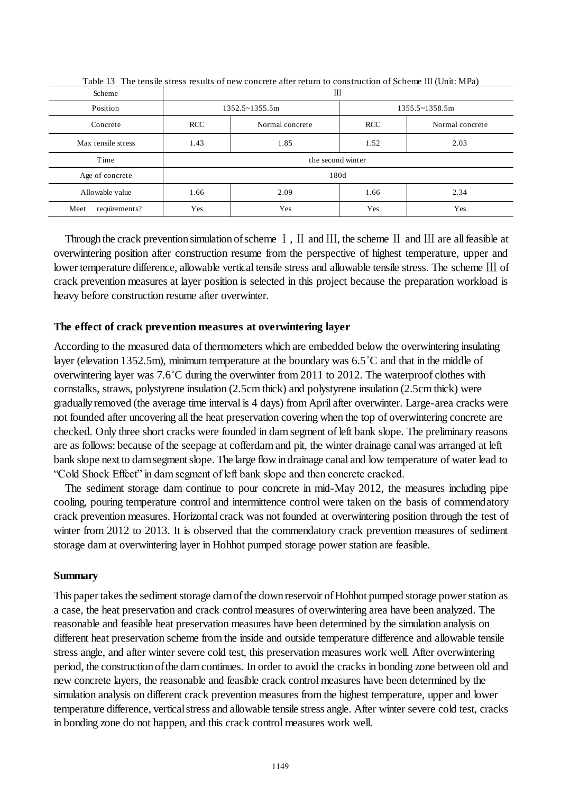| Scheme                | Ш                     |                 |                         |                 |
|-----------------------|-----------------------|-----------------|-------------------------|-----------------|
| Position              | $1352.5 \sim 1355.5m$ |                 | $1355.5 \times 1358.5m$ |                 |
| Concrete              | <b>RCC</b>            | Normal concrete | <b>RCC</b>              | Normal concrete |
| Max tensile stress    | 1.43                  | 1.85            | 1.52                    | 2.03            |
| Time                  | the second winter     |                 |                         |                 |
| Age of concrete       | 180d                  |                 |                         |                 |
| Allowable value       | 1.66                  | 2.09            | 1.66                    | 2.34            |
| requirements?<br>Meet | Yes                   | Yes             | Yes                     | Yes             |

Table 13 The tensile stress results of new concrete after return to construction of Scheme III (Unit: MPa)

Through the crack prevention simulation of scheme  $\text{I}$ ,  $\text{II}$  and  $\text{III}$ , the scheme  $\text{II}$  and  $\text{III}$  are all feasible at overwintering position after construction resume from the perspective of highest temperature, upper and lower temperature difference, allowable vertical tensile stress and allowable tensile stress. The scheme Ⅲ of crack prevention measures at layer position is selected in this project because the preparation workload is heavy before construction resume after overwinter.

### **The effect of crack prevention measures at overwintering layer**

According to the measured data of thermometers which are embedded below the overwintering insulating layer (elevation 1352.5m), minimum temperature at the boundary was 6.5˚C and that in the middle of overwintering layer was 7.6˚C during the overwinter from 2011 to 2012. The waterproof clothes with cornstalks, straws, polystyrene insulation (2.5cm thick) and polystyrene insulation (2.5cm thick) were gradually removed (the average time interval is 4 days) from April after overwinter. Large-area cracks were not founded after uncovering all the heat preservation covering when the top of overwintering concrete are checked. Only three short cracks were founded in dam segment of left bank slope. The preliminary reasons are as follows: because of the seepage at cofferdam and pit, the winter drainage canal was arranged at left bank slope next to dam segment slope. The large flow in drainage canal and low temperature of water lead to "Cold Shock Effect" in dam segment of left bank slope and then concrete cracked.

The sediment storage dam continue to pour concrete in mid-May 2012, the measures including pipe cooling, pouring temperature control and intermittence control were taken on the basis of commendatory crack prevention measures. Horizontal crack was not founded at overwintering position through the test of winter from 2012 to 2013. It is observed that the commendatory crack prevention measures of sediment storage dam at overwintering layer in Hohhot pumped storage power station are feasible.

#### **Summary**

This paper takes the sediment storage dam of the down reservoir of Hohhot pumped storage power station as a case, the heat preservation and crack control measures of overwintering area have been analyzed. The reasonable and feasible heat preservation measures have been determined by the simulation analysis on different heat preservation scheme from the inside and outside temperature difference and allowable tensile stress angle, and after winter severe cold test, this preservation measures work well. After overwintering period, the construction of the dam continues. In order to avoid the cracks in bonding zone between old and new concrete layers, the reasonable and feasible crack control measures have been determined by the simulation analysis on different crack prevention measures from the highest temperature, upper and lower temperature difference, vertical stress and allowable tensile stress angle. After winter severe cold test, cracks in bonding zone do not happen, and this crack control measures work well.